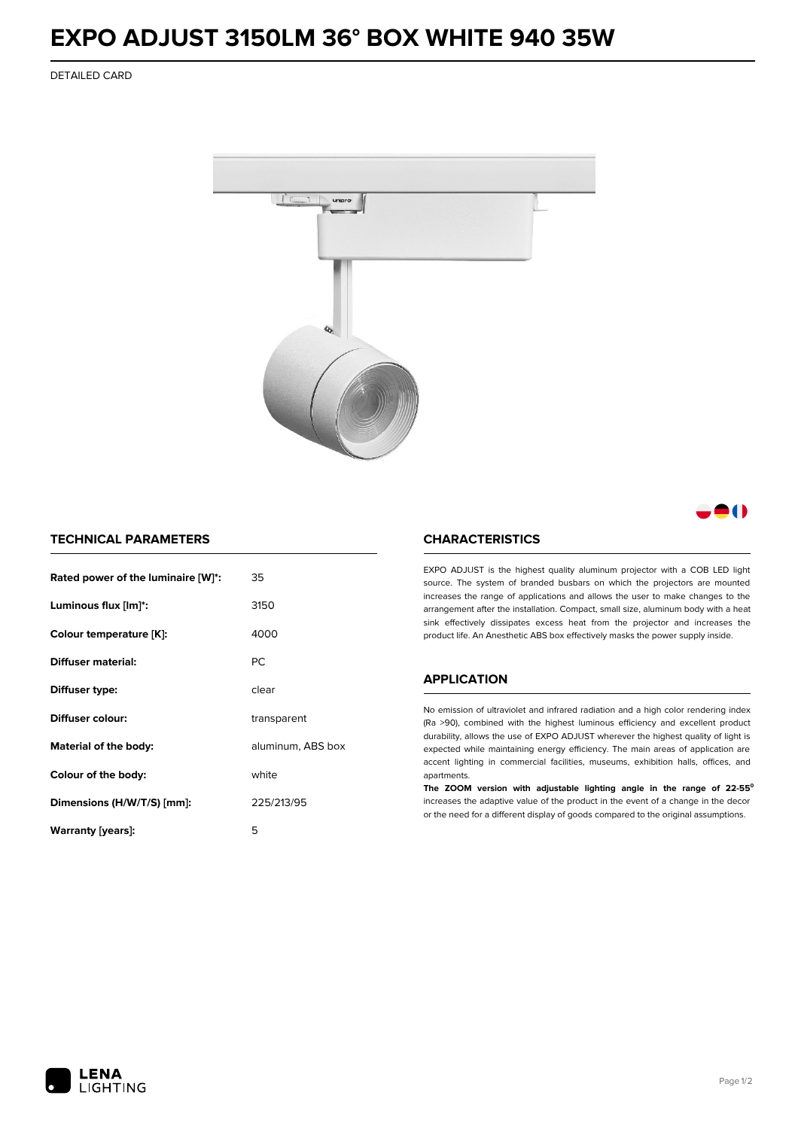# **EXPO ADJUST 3150LM 36° BOX WHITE 940 35W**

DETAILED CARD



## - 1

### **TECHNICAL PARAMETERS**

| Rated power of the luminaire [W]*: | 35                |  |
|------------------------------------|-------------------|--|
| Luminous flux [lm]*:               | 3150              |  |
| Colour temperature [K]:            | 4000              |  |
| Diffuser material:                 | <b>PC</b>         |  |
| Diffuser type:                     | clear             |  |
| Diffuser colour:                   | transparent       |  |
| Material of the body:              | aluminum, ABS box |  |
| Colour of the body:                | white             |  |
| Dimensions (H/W/T/S) [mm]:         | 225/213/95        |  |
| Warranty [years]:                  | 5                 |  |

#### **CHARACTERISTICS**

EXPO ADJUST is the highest quality aluminum projector with a COB LED light source. The system of branded busbars on which the projectors are mounted increases the range of applications and allows the user to make changes to the arrangement after the installation. Compact, small size, aluminum body with a heat sink effectively dissipates excess heat from the projector and increases the product life. An Anesthetic ABS box effectively masks the power supply inside.

#### **APPLICATION**

No emission of ultraviolet and infrared radiation and a high color rendering index (Ra >90), combined with the highest luminous efficiency and excellent product durability, allows the use of EXPO ADJUST wherever the highest quality of light is expected while maintaining energy efficiency. The main areas of application are accent lighting in commercial facilities, museums, exhibition halls, offices, and apartments.

**The ZOOM version with adjustable lighting angle in the range of 22-55⁰** increases the adaptive value of the product in the event of a change in the decor or the need for a different display of goods compared to the original assumptions.